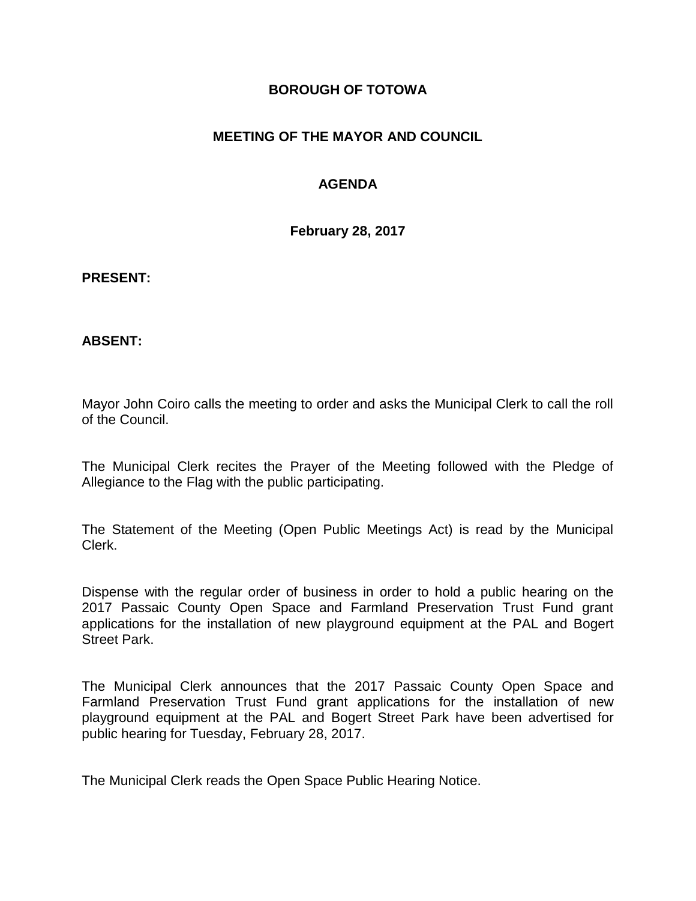### **BOROUGH OF TOTOWA**

## **MEETING OF THE MAYOR AND COUNCIL**

## **AGENDA**

**February 28, 2017**

#### **PRESENT:**

### **ABSENT:**

Mayor John Coiro calls the meeting to order and asks the Municipal Clerk to call the roll of the Council.

The Municipal Clerk recites the Prayer of the Meeting followed with the Pledge of Allegiance to the Flag with the public participating.

The Statement of the Meeting (Open Public Meetings Act) is read by the Municipal Clerk.

Dispense with the regular order of business in order to hold a public hearing on the 2017 Passaic County Open Space and Farmland Preservation Trust Fund grant applications for the installation of new playground equipment at the PAL and Bogert Street Park.

The Municipal Clerk announces that the 2017 Passaic County Open Space and Farmland Preservation Trust Fund grant applications for the installation of new playground equipment at the PAL and Bogert Street Park have been advertised for public hearing for Tuesday, February 28, 2017.

The Municipal Clerk reads the Open Space Public Hearing Notice.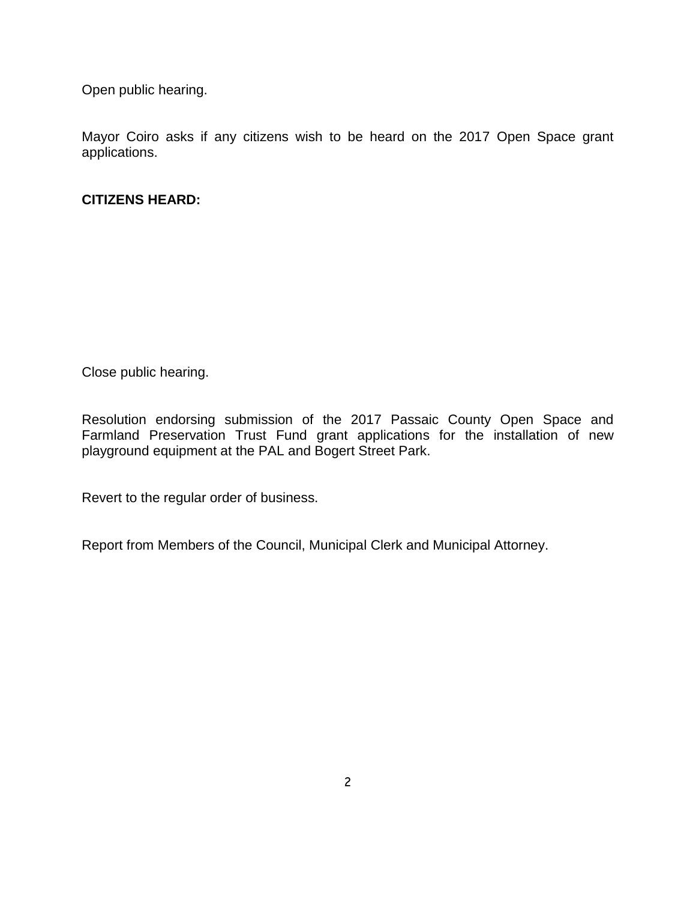Open public hearing.

Mayor Coiro asks if any citizens wish to be heard on the 2017 Open Space grant applications.

## **CITIZENS HEARD:**

Close public hearing.

Resolution endorsing submission of the 2017 Passaic County Open Space and Farmland Preservation Trust Fund grant applications for the installation of new playground equipment at the PAL and Bogert Street Park.

Revert to the regular order of business.

Report from Members of the Council, Municipal Clerk and Municipal Attorney.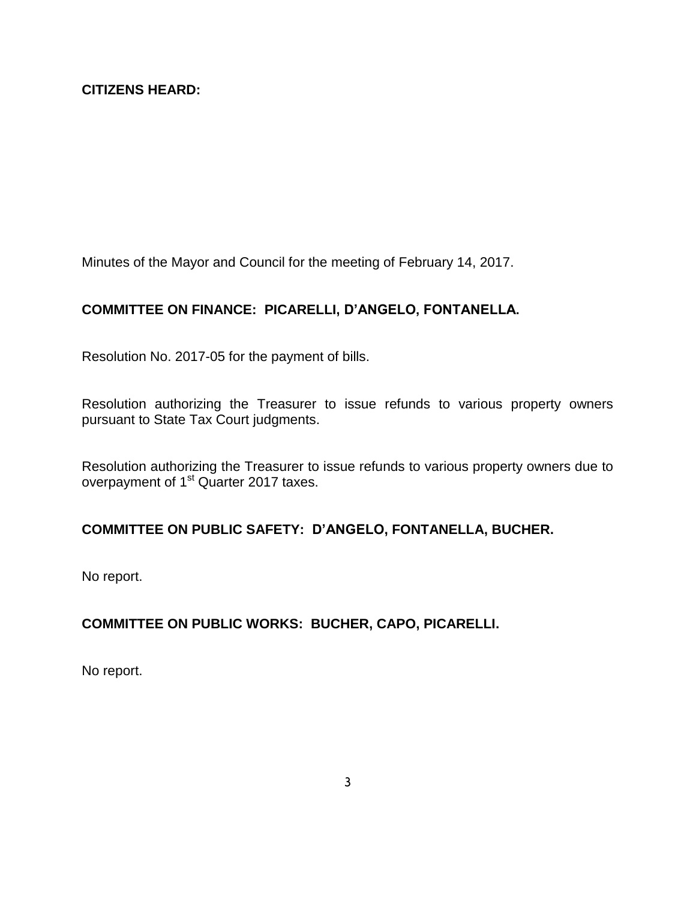Minutes of the Mayor and Council for the meeting of February 14, 2017.

# **COMMITTEE ON FINANCE: PICARELLI, D'ANGELO, FONTANELLA.**

Resolution No. 2017-05 for the payment of bills.

Resolution authorizing the Treasurer to issue refunds to various property owners pursuant to State Tax Court judgments.

Resolution authorizing the Treasurer to issue refunds to various property owners due to overpayment of 1<sup>st</sup> Quarter 2017 taxes.

# **COMMITTEE ON PUBLIC SAFETY: D'ANGELO, FONTANELLA, BUCHER.**

No report.

# **COMMITTEE ON PUBLIC WORKS: BUCHER, CAPO, PICARELLI.**

No report.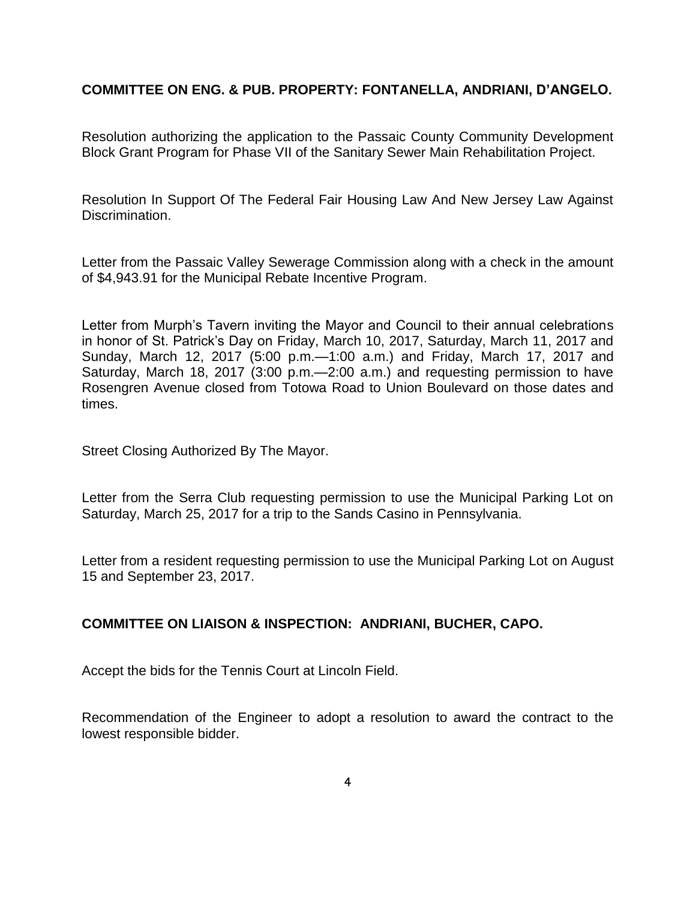### **COMMITTEE ON ENG. & PUB. PROPERTY: FONTANELLA, ANDRIANI, D'ANGELO.**

Resolution authorizing the application to the Passaic County Community Development Block Grant Program for Phase VII of the Sanitary Sewer Main Rehabilitation Project.

Resolution In Support Of The Federal Fair Housing Law And New Jersey Law Against Discrimination.

Letter from the Passaic Valley Sewerage Commission along with a check in the amount of \$4,943.91 for the Municipal Rebate Incentive Program.

Letter from Murph's Tavern inviting the Mayor and Council to their annual celebrations in honor of St. Patrick's Day on Friday, March 10, 2017, Saturday, March 11, 2017 and Sunday, March 12, 2017 (5:00 p.m.—1:00 a.m.) and Friday, March 17, 2017 and Saturday, March 18, 2017 (3:00 p.m.—2:00 a.m.) and requesting permission to have Rosengren Avenue closed from Totowa Road to Union Boulevard on those dates and times.

Street Closing Authorized By The Mayor.

Letter from the Serra Club requesting permission to use the Municipal Parking Lot on Saturday, March 25, 2017 for a trip to the Sands Casino in Pennsylvania.

Letter from a resident requesting permission to use the Municipal Parking Lot on August 15 and September 23, 2017.

### **COMMITTEE ON LIAISON & INSPECTION: ANDRIANI, BUCHER, CAPO.**

Accept the bids for the Tennis Court at Lincoln Field.

Recommendation of the Engineer to adopt a resolution to award the contract to the lowest responsible bidder.